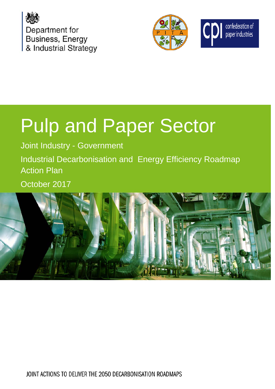





# Pulp and Paper Sector

Joint Industry - Government

Industrial Decarbonisation and Energy Efficiency Roadmap Action Plan

October 2017



JOINT ACTIONS TO DELIVER THE 2050 DECARBONISATION ROADMAPS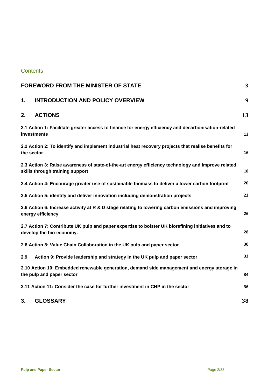## **Contents**

| <b>FOREWORD FROM THE MINISTER OF STATE</b><br>3                                                                     |                                                                                                                                       |    |
|---------------------------------------------------------------------------------------------------------------------|---------------------------------------------------------------------------------------------------------------------------------------|----|
| 1.                                                                                                                  | <b>INTRODUCTION AND POLICY OVERVIEW</b>                                                                                               | 9  |
| 2.                                                                                                                  | <b>ACTIONS</b>                                                                                                                        | 13 |
| 2.1 Action 1: Facilitate greater access to finance for energy efficiency and decarbonisation-related<br>investments |                                                                                                                                       | 13 |
|                                                                                                                     | 2.2 Action 2: To identify and implement industrial heat recovery projects that realise benefits for<br>the sector                     |    |
|                                                                                                                     | 2.3 Action 3: Raise awareness of state-of-the-art energy efficiency technology and improve related<br>skills through training support |    |
|                                                                                                                     | 2.4 Action 4: Encourage greater use of sustainable biomass to deliver a lower carbon footprint                                        | 20 |
|                                                                                                                     | 2.5 Action 5: identify and deliver innovation including demonstration projects                                                        | 22 |
|                                                                                                                     | 2.6 Action 6: Increase activity at R & D stage relating to lowering carbon emissions and improving<br>energy efficiency               |    |
|                                                                                                                     | 2.7 Action 7: Contribute UK pulp and paper expertise to bolster UK biorefining initiatives and to<br>develop the bio-economy.         |    |
| 2.8 Action 8: Value Chain Collaboration in the UK pulp and paper sector                                             |                                                                                                                                       | 30 |
| 2.9                                                                                                                 | Action 9: Provide leadership and strategy in the UK pulp and paper sector                                                             | 32 |
|                                                                                                                     | 2.10 Action 10: Embedded renewable generation, demand side management and energy storage in<br>the pulp and paper sector              |    |
|                                                                                                                     | 2.11 Action 11: Consider the case for further investment in CHP in the sector                                                         | 36 |
| 3.                                                                                                                  | <b>GLOSSARY</b>                                                                                                                       | 38 |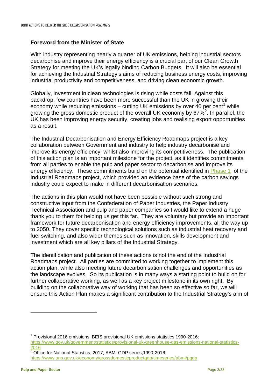## <span id="page-2-0"></span>**Foreword from the Minister of State**

With industry representing nearly a quarter of UK emissions, helping industrial sectors decarbonise and improve their energy efficiency is a crucial part of our Clean Growth Strategy for meeting the UK's legally binding Carbon Budgets. It will also be essential for achieving the Industrial Strategy's aims of reducing business energy costs, improving industrial productivity and competitiveness, and driving clean economic growth.

Globally, investment in clean technologies is rising while costs fall. Against this backdrop, few countries have been more successful than the UK in growing their economy while reducing emissions – cutting UK emissions by over  $40$  per cent<sup>[1](#page-2-1)</sup> while growing the gross domestic product of the overall UK economy by  $67\%^2$  $67\%^2$ . In parallel, the UK has been improving energy security, creating jobs and realising export opportunities as a result.

The Industrial Decarbonisation and Energy Efficiency Roadmaps project is a key collaboration between Government and industry to help industry decarbonise and improve its energy efficiency, whilst also improving its competitiveness. The publication of this action plan is an important milestone for the project, as it identifies commitments from all parties to enable the pulp and paper sector to decarbonise and improve its energy efficiency. These commitments build on the potential identified in [Phase 1](https://www.gov.uk/government/publications/industrial-decarbonisation-and-energy-efficiency-roadmaps-to-2050) of the Industrial Roadmaps project, which provided an evidence base of the carbon savings industry could expect to make in different decarbonisation scenarios.

The actions in this plan would not have been possible without such strong and constructive input from the Confederation of Paper Industries, the Paper Industry Technical Association and pulp and paper companies so I would like to extend a huge thank you to them for helping us get this far. They are voluntary but provide an important framework for future decarbonisation and energy efficiency improvements, all the way up to 2050. They cover specific technological solutions such as industrial heat recovery and fuel switching, and also wider themes such as innovation, skills development and investment which are all key pillars of the Industrial Strategy.

The identification and publication of these actions is not the end of the Industrial Roadmaps project. All parties are committed to working together to implement this action plan, while also meeting future decarbonisation challenges and opportunities as the landscape evolves. So its publication is in many ways a starting point to build on for further collaborative working, as well as a key project milestone in its own right. By building on the collaborative way of working that has been so effective so far, we will ensure this Action Plan makes a significant contribution to the Industrial Strategy's aim of

<span id="page-2-1"></span><sup>1</sup> Provisional 2016 emissions: BEIS provisional UK emissions statistics 1990-2016: [https://www.gov.uk/government/statistics/provisional-uk-greenhouse-gas-emissions-national-statistics-](https://www.gov.uk/government/statistics/provisional-uk-greenhouse-gas-emissions-national-statistics-2016) $\frac{2016}{2 \text{GHz}}$  $\frac{2016}{2 \text{GHz}}$  $\frac{2016}{2 \text{GHz}}$ 

<span id="page-2-2"></span><sup>2</sup> Office for National Statistics, 2017, ABMI GDP series,1990-2016: <https://www.ons.gov.uk/economy/grossdomesticproductgdp/timeseries/abmi/pgdp>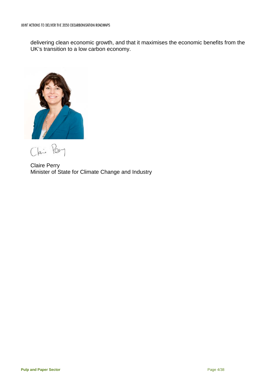delivering clean economic growth, and that it maximises the economic benefits from the UK's transition to a low carbon economy.



Clai Per

Claire Perry Minister of State for Climate Change and Industry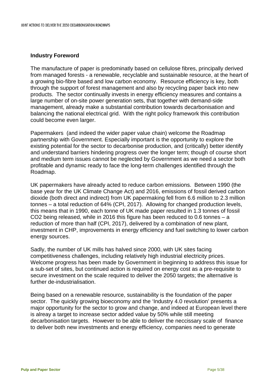#### **Industry Foreword**

The manufacture of paper is predominatly based on cellulose fibres, principally derived from managed forests - a renewable, recyclable and sustainable resource, at the heart of a growing bio-fibre based and low carbon economy. Resource efficiency is key, both through the support of forest management and also by recycling paper back into new products. The sector continually invests in energy efficiency measures and contains a large number of on-site power generation sets, that together with demand-side management, already make a substantial contribution towards decarbonisation and balancing the national electrical grid. With the right policy framework this contribution could become even larger.

Papermakers (and indeed the wider paper value chain) welcome the Roadmap partnership with Government. Especially important is the opportunity to explore the existing potential for the sector to decarbonise production, and (critically) better identify and understand barriers hindering progress over the longer term; though of course short and medium term issues cannot be neglected by Government as we need a sector both profitable and dynamic ready to face the long-term challenges identified through the Roadmap.

UK papermakers have already acted to reduce carbon emissions. Between 1990 (the base year for the UK Climate Change Act) and 2016, emissions of fossil derived carbon dioxide (both direct and indirect) from UK papermaking fell from 6.6 million to 2.3 million tonnes – a total reduction of 64% (CPI, 2017). Allowing for changed production levels, this means that in 1990, each tonne of UK made paper resulted in 1.3 tonnes of fossil CO2 being released, while in 2016 this figure has been reduced to 0.6 tonnes – a reduction of more than half (CPI, 2017), delivered by a combination of new plant, investment in CHP, improvements in energy efficiency and fuel switching to lower carbon energy sources.

Sadly, the number of UK mills has halved since 2000, with UK sites facing competitiveness challenges, including relatively high industrial electricity prices. Welcome progress has been made by Government in beginning to address this issue for a sub-set of sites, but continued action is required on energy cost as a pre-requisite to secure investment on the scale required to deliver the 2050 targets; the alternative is further de-industrialisation.

Being based on a renewable resource, sustainability is the foundation of the paper sector. The quickly growing bioeconomy and the 'Industry 4.0 revolution' presents a major opportunity for the sector to grow and change, and indeed at European level there is alreay a target to increase sector added value by 50% while still meeting decarbonisation targets. However to be able to deliver the neccissary scale of finance to deliver both new investments and energy efficiency, companies need to generate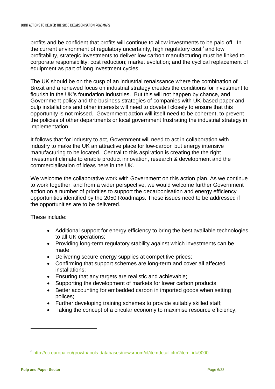profits and be confident that profits will continue to allow investments to be paid off. In the current environment of regulatory uncertainty, high regulatory cost<sup>[3](#page-5-0)</sup> and low profitability, strategic investments to deliver low carbon manufacturing must be linked to corporate responsibility; cost reduction; market evolution; and the cyclical replacement of equipment as part of long investment cycles.

The UK should be on the cusp of an industrial renaissance where the combination of Brexit and a renewed focus on industrial strategy creates the conditions for investment to flourish in the UK's foundation industries. But this will not happen by chance, and Government policy and the business strategies of companies with UK-based paper and pulp installations and other interests will need to dovetail closely to ensure that this opportunity is not missed. Government action will itself need to be coherent, to prevent the policies of other departments or local government frustrating the industrial strategy in implementation.

It follows that for industry to act, Government will need to act in collaboration with industry to make the UK an attractive place for low-carbon but energy intensive manufacturing to be located. Central to this aspiration is creating the the right investment climate to enable product innovation, research & development and the commercialisation of ideas here in the UK.

We welcome the collaborative work with Government on this action plan. As we continue to work together, and from a wider perspective, we would welcome further Government action on a number of priorities to support the decarbonisation and energy efficiency opportunities identified by the 2050 Roadmaps. These issues need to be addressed if the opportunities are to be delivered.

These include:

- Additional support for energy efficiency to bring the best available technologies to all UK operations;
- Providing long-term regulatory stability against which investments can be made;
- Delivering secure energy supplies at competitive prices;
- Confirming that support schemes are long-term and cover all affected installations;
- Ensuring that any targets are realistic and achievable;
- Supporting the development of markets for lower carbon products;
- Better accounting for embedded carbon in imported goods when setting polices;
- Further developing training schemes to provide suitably skilled staff;
- Taking the concept of a circular economy to maximise resource efficiency;

<span id="page-5-0"></span><sup>3</sup> [http://ec.europa.eu/growth/tools-databases/newsroom/cf/itemdetail.cfm?item\\_id=9000](http://ec.europa.eu/growth/tools-databases/newsroom/cf/itemdetail.cfm?item_id=9000)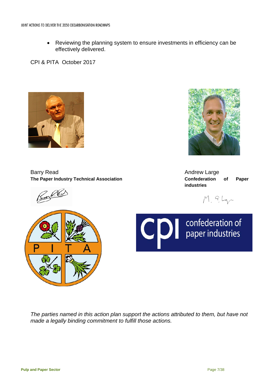• Reviewing the planning system to ensure investments in efficiency can be effectively delivered.

CPI & PITA October 2017



Barry Read **Andrew Large Andrew Large** The Paper Industry Technical Association **Confederation Confederation** of Paper

<u>Rocke</u>



**industries**

M. G.Lgr



*The parties named in this action plan support the actions attributed to them, but have not made a legally binding commitment to fulfill those actions.*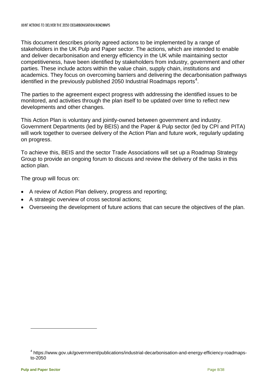This document describes priority agreed actions to be implemented by a range of stakeholders in the UK Pulp and Paper sector. The actions, which are intended to enable and deliver decarbonisation and energy efficiency in the UK while maintaining sector competitiveness, have been identified by stakeholders from industry, government and other parties. These include actors within the value chain, supply chain, institutions and academics. They focus on overcoming barriers and delivering the decarbonisation pathways identified in the previously published 2050 Industrial Roadmaps reports<sup>[4](#page-7-0)</sup>.

The parties to the agreement expect progress with addressing the identified issues to be monitored, and activities through the plan itself to be updated over time to reflect new developments and other changes.

This Action Plan is voluntary and jointly-owned between government and industry. Government Departments (led by BEIS) and the Paper & Pulp sector (led by CPI and PITA) will work together to oversee delivery of the Action Plan and future work, regularly updating on progress.

To achieve this, BEIS and the sector Trade Associations will set up a Roadmap Strategy Group to provide an ongoing forum to discuss and review the delivery of the tasks in this action plan.

The group will focus on:

- A review of Action Plan delivery, progress and reporting;
- A strategic overview of cross sectoral actions;
- Overseeing the development of future actions that can secure the objectives of the plan.

<span id="page-7-0"></span><sup>4</sup> https://www.gov.uk/government/publications/industrial-decarbonisation-and-energy-efficiency-roadmapsto-2050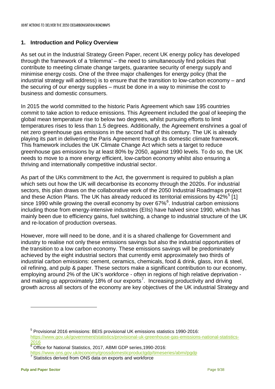#### <span id="page-8-0"></span>**1. Introduction and Policy Overview**

As set out in the Industrial Strategy Green Paper, recent UK energy policy has developed through the framework of a 'trilemma' – the need to simultaneously find policies that contribute to meeting climate change targets, guarantee security of energy supply and minimise energy costs. One of the three major challenges for energy policy (that the industrial strategy will address) is to ensure that the transition to low-carbon economy – and the securing of our energy supplies – must be done in a way to minimise the cost to business and domestic consumers.

In 2015 the world committed to the historic Paris Agreement which saw 195 countries commit to take action to reduce emissions. This Agreement included the goal of keeping the global mean temperature rise to below two degrees, whilst pursuing efforts to limit temperatures rises to less than 1.5 degrees. Additionally, the Agreement enshrines a goal of net zero greenhouse gas emissions in the second half of this century. The UK is already playing its part in delivering the Paris Agreement through its domestic climate framework. This framework includes the UK Climate Change Act which sets a target to reduce greenhouse gas emissions by at least 80% by 2050, against 1990 levels. To do so, the UK needs to move to a more energy efficient, low-carbon economy whilst also ensuring a thriving and internationally competitive industrial sector.

As part of the UKs commitment to the Act, the government is required to publish a plan which sets out how the UK will decarbonise its economy through the 2020s. For industrial sectors, this plan draws on the collaborative work of the 2050 Industrial Roadmaps project and these Action Plans. The UK has already reduced its territorial emissions by  $42\%^{5}$  $42\%^{5}$  $42\%^{5}$  [1] since 1990 while growing the overall economy by over [6](#page-8-2)7% $^6$ . Industrial carbon emissions including those from energy-intensive industries (EIIs) have halved since 1990, which has mainly been due to efficiency gains, fuel switching, a change to industrial structure of the UK and re-location of production overseas.

However, more will need to be done, and it is a shared challenge for Government and industry to realise not only these emissions savings but also the industrial opportunities of the transition to a low carbon economy. These emissions savings will be predominately achieved by the eight industrial sectors that currently emit approximately two thirds of industrial carbon emissions: cement, ceramics, chemicals, food & drink, glass, iron & steel, oil refining, and pulp & paper. These sectors make a significant contribution to our economy, employing around 2% of the UK's workforce - often in regions of high relative deprivation - and making up approximately 18% of our exports<sup>[7](#page-8-3)</sup>. Increasing productivity and driving growth across all sectors of the economy are key objectives of the UK industrial Strategy and

<span id="page-8-3"></span><sup>7</sup> Statistics derived from ONS data on exports and workforce

<span id="page-8-1"></span><sup>5</sup> Provisional 2016 emissions: BEIS provisional UK emissions statistics 1990-2016: [https://www.gov.uk/government/statistics/provisional-uk-greenhouse-gas-emissions-national-statistics-](https://www.gov.uk/government/statistics/provisional-uk-greenhouse-gas-emissions-national-statistics-2016)[2016](https://www.gov.uk/government/statistics/provisional-uk-greenhouse-gas-emissions-national-statistics-2016)

<span id="page-8-2"></span> $\overline{6}$  Office for National Statistics, 2017, ABMI GDP series, 1990-2016: <https://www.ons.gov.uk/economy/grossdomesticproductgdp/timeseries/abmi/pgdp>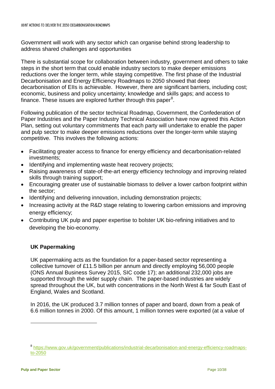Government will work with any sector which can organise behind strong leadership to address shared challenges and opportunities

There is substantial scope for collaboration between industry, government and others to take steps in the short term that could enable industry sectors to make deeper emissions reductions over the longer term, while staying competitive. The first phase of the Industrial Decarbonisation and Energy Efficiency Roadmaps to 2050 showed that deep decarbonisation of EIIs is achievable. However, there are significant barriers, including cost; economic, business and policy uncertainty; knowledge and skills gaps; and access to finance. These issues are explored further through this paper<sup>[8](#page-9-0)</sup>.

Following publication of the sector technical Roadmap, Government, the Confederation of Paper Industries and the Paper Industry Technical Association have now agreed this Action Plan, setting out voluntary commitments that each party will undertake to enable the paper and pulp sector to make deeper emissions reductions over the longer-term while staying competitive. This involves the following actions:

- Facilitating greater access to finance for energy efficiency and decarbonisation-related investments;
- Identifying and implementing waste heat recovery projects;
- Raising awareness of state-of-the-art energy efficiency technology and improving related skills through training support;
- Encouraging greater use of sustainable biomass to deliver a lower carbon footprint within the sector;
- Identifying and delivering innovation, including demonstration projects;
- Increasing activity at the R&D stage relating to lowering carbon emissions and improving energy efficiency;
- Contributing UK pulp and paper expertise to bolster UK bio-refining initiatives and to developing the bio-economy.

## **UK Papermaking**

UK papermaking acts as the foundation for a paper-based sector representing a collective turnover of £11.5 billion per annum and directly employing 56,000 people (ONS Annual Business Survey 2015, SIC code 17); an additional 232,000 jobs are supported through the wider supply chain. The paper-based industries are widely spread throughout the UK, but with concentrations in the North West & far South East of England, Wales and Scotland.

In 2016, the UK produced 3.7 million tonnes of paper and board, down from a peak of 6.6 million tonnes in 2000. Of this amount, 1 million tonnes were exported (at a value of

<span id="page-9-0"></span><sup>8</sup> [https://www.gov.uk/government/publications/industrial-decarbonisation-and-energy-efficiency-roadmaps](https://www.gov.uk/government/publications/industrial-decarbonisation-and-energy-efficiency-roadmaps-to-2050)[to-2050](https://www.gov.uk/government/publications/industrial-decarbonisation-and-energy-efficiency-roadmaps-to-2050)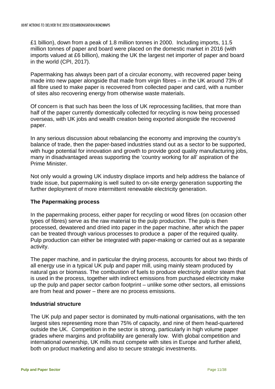£1 billion), down from a peak of 1.8 million tonnes in 2000. Including imports, 11.5 million tonnes of paper and board were placed on the domestic market in 2016 (with imports valued at £6 billion), making the UK the largest net importer of paper and board in the world (CPI, 2017).

Papermaking has always been part of a circular economy, with recovered paper being made into new paper alongside that made from virgin fibres – in the UK around 73% of all fibre used to make paper is recovered from collected paper and card, with a number of sites also recovering energy from otherwise waste materials.

Of concern is that such has been the loss of UK reprocessing facilities, that more than half of the paper currently domestically collected for recycling is now being processed overseas, with UK jobs and wealth creation being exported alongside the recovered paper.

In any serious discussion about rebalancing the economy and improving the country's balance of trade, then the paper-based industries stand out as a sector to be supported, with huge potential for innovation and growth to provide good quality manufacturing jobs, many in disadvantaged areas supporting the 'country working for all' aspiration of the Prime Minister.

Not only would a growing UK industry displace imports and help address the balance of trade issue, but papermaking is well suited to on-site energy generation supporting the further deployment of more intermittent renewable electricity generation.

#### **The Papermaking process**

In the papermaking process, either paper for recycling or wood fibres (on occasion other types of fibres) serve as the raw material to the pulp production. The pulp is then processed, dewatered and dried into paper in the paper machine, after which the paper can be treated through various processes to produce a paper of the required quality. Pulp production can either be integrated with paper-making or carried out as a separate activity.

The paper machine, and in particular the drying process, accounts for about two thirds of all energy use in a typical UK pulp and paper mill, using mainly steam produced by natural gas or biomass. The combustion of fuels to produce electricity and/or steam that is used in the process, together with indirect emissions from purchased electricity make up the pulp and paper sector carbon footprint – unlike some other sectors, all emissions are from heat and power – there are no process emissions.

### **Industrial structure**

The UK pulp and paper sector is dominated by multi-national organisations, with the ten largest sites representing more than 75% of capacity, and nine of them head-quartered outside the UK. Competition in the sector is strong, particularly in high volume paper grades where margins and profitability are generally low. With global competition and international ownership, UK mills must compete with sites in Europe and further afield, both on product marketing and also to secure strategic investments.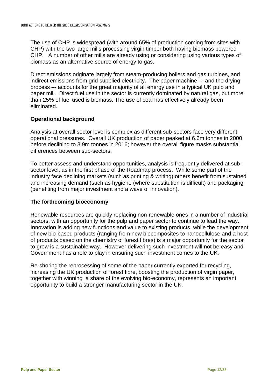The use of CHP is widespread (with around 65% of production coming from sites with CHP) with the two large mills processing virgin timber both having biomass powered CHP. A number of other mills are already using or considering using various types of biomass as an alternative source of energy to gas.

Direct emissions originate largely from steam-producing boilers and gas turbines, and indirect emissions from grid supplied electricity. The paper machine –- and the drying process –- accounts for the great majority of all energy use in a typical UK pulp and paper mill. Direct fuel use in the sector is currently dominated by natural gas, but more than 25% of fuel used is biomass. The use of coal has effectively already been eliminated.

## **Operational background**

Analysis at overall sector level is complex as different sub-sectors face very different operational pressures. Overall UK production of paper peaked at 6.6m tonnes in 2000 before declining to 3.9m tonnes in 2016; however the overall figure masks substantial differences between sub-sectors.

To better assess and understand opportunities, analysis is frequently delivered at subsector level, as in the first phase of the Roadmap process. While some part of the industry face declining markets (such as printing & writing) others benefit from sustained and increasing demand (such as hygiene (where substitution is difficult) and packaging (benefiting from major investment and a wave of innovation).

#### **The forthcoming bioeconomy**

Renewable resources are quickly replacing non-renewable ones in a number of industrial sectors, with an opportunity for the pulp and paper sector to continue to lead the way. Innovation is adding new functions and value to existing products, while the development of new bio-based products (ranging from new biocomposites to nanocellulose and a host of products based on the chemistry of forest fibres) is a major opportunity for the sector to grow is a sustainable way. However delivering such investment will not be easy and Government has a role to play in ensuring such investment comes to the UK.

Re-shoring the reprocessing of some of the paper currently exported for recycling, increasing the UK production of forest fibre, boosting the production of virgin paper, together with winning a share of the evolving bio-economy, represents an important opportunity to build a stronger manufacturing sector in the UK.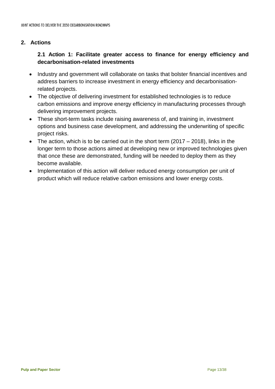## <span id="page-12-0"></span>**2. Actions**

# **2.1 Action 1: Facilitate greater access to finance for energy efficiency and decarbonisation-related investments**

- Industry and government will collaborate on tasks that bolster financial incentives and address barriers to increase investment in energy efficiency and decarbonisationrelated projects.
- The objective of delivering investment for established technologies is to reduce carbon emissions and improve energy efficiency in manufacturing processes through delivering improvement projects.
- These short-term tasks include raising awareness of, and training in, investment options and business case development, and addressing the underwriting of specific project risks.
- The action, which is to be carried out in the short term  $(2017 2018)$ , links in the longer term to those actions aimed at developing new or improved technologies given that once these are demonstrated, funding will be needed to deploy them as they become available.
- Implementation of this action will deliver reduced energy consumption per unit of product which will reduce relative carbon emissions and lower energy costs.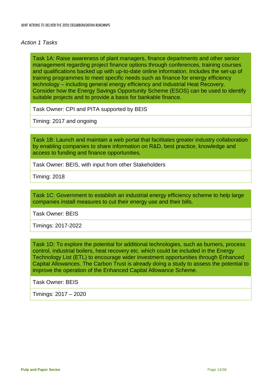#### *Action 1 Tasks*

Task 1A: Raise awareness of plant managers, finance departments and other senior management regarding project finance options through conferences, training courses and qualifications backed up with up-to-date online information. Includes the set-up of training programmes to meet specific needs such as finance for energy efficiency technology – including general energy efficiency and Industrial Heat Recovery. Consider how the Energy Savings Opportunity Scheme (ESOS) can be used to identify suitable projects and to provide a basis for bankable finance.

Task Owner: CPI and PITA supported by BEIS

Timing: 2017 and ongoing

Task 1B: Launch and maintain a web portal that facilitates greater industry collaboration by enabling companies to share information on R&D, best practice, knowledge and access to funding and finance opportunities.

Task Owner: BEIS, with input from other Stakeholders

Timing: 2018

Task 1C: Government to establish an industrial energy efficiency scheme to help large companies install measures to cut their energy use and their bills.

Task Owner: BEIS

Timings: 2017-2022

Task 1D: To explore the potential for additional technologies, such as burners, process control, industrial boilers, heat recovery etc. which could be included in the Energy Technology List (ETL) to encourage wider investment opportunities through Enhanced Capital Allowances. The Carbon Trust is already doing a study to assess the potential to improve the operation of the Enhanced Capital Allowance Scheme.

Task Owner: BEIS

Timings: 2017 – 2020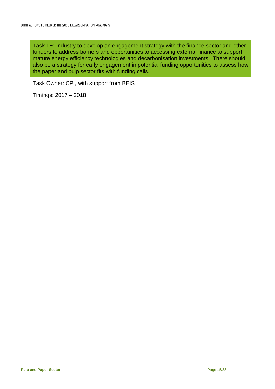Task 1E: Industry to develop an engagement strategy with the finance sector and other funders to address barriers and opportunities to accessing external finance to support mature energy efficiency technologies and decarbonisation investments. There should also be a strategy for early engagement in potential funding opportunities to assess how the paper and pulp sector fits with funding calls.

Task Owner: CPI, with support from BEIS

Timings: 2017 – 2018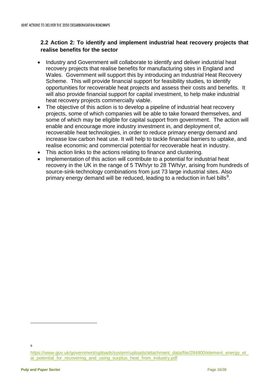# <span id="page-15-0"></span>**2.2 Action 2: To identify and implement industrial heat recovery projects that realise benefits for the sector**

- Industry and Government will collaborate to identify and deliver industrial heat recovery projects that realise benefits for manufacturing sites in England and Wales. Government will support this by introducing an Industrial Heat Recovery Scheme. This will provide financial support for feasibility studies, to identify opportunities for recoverable heat projects and assess their costs and benefits. It will also provide financial support for capital investment, to help make industrial heat recovery projects commercially viable.
- The objective of this action is to develop a pipeline of industrial heat recovery projects, some of which companies will be able to take forward themselves, and some of which may be eligible for capital support from government. The action will enable and encourage more industry investment in, and deployment of, recoverable heat technologies, in order to reduce primary energy demand and increase low carbon heat use. It will help to tackle financial barriers to uptake, and realise economic and commercial potential for recoverable heat in industry.
- This action links to the actions relating to finance and clustering.
- Implementation of this action will contribute to a potential for industrial heat recovery in the UK in the range of 5 TWh/yr to 28 TWh/yr, arising from hundreds of source-sink-technology combinations from just 73 large industrial sites. Also primary energy demand will be reduced, leading to a reduction in fuel bills<sup>[9](#page-15-1)</sup>.

 $\mathsf{q}$ 

<span id="page-15-1"></span>[https://www.gov.uk/government/uploads/system/uploads/attachment\\_data/file/294900/element\\_energy\\_et\\_](https://www.gov.uk/government/uploads/system/uploads/attachment_data/file/294900/element_energy_et_al_potential_for_recovering_and_using_surplus_heat_from_industry.pdf) al potential for recovering and using surplus heat from industry.pdf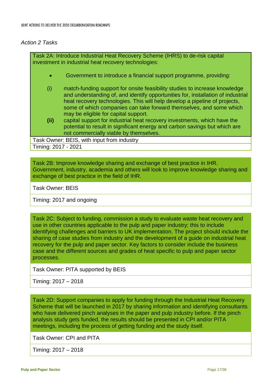#### *Action 2 Tasks*

Task 2A: Introduce Industrial Heat Recovery Scheme (IHRS) to de-risk capital investment in industrial heat recovery technologies: • Government to introduce a financial support programme, providing: (i) match-funding support for onsite feasibility studies to increase knowledge and understanding of, and identify opportunities for, installation of industrial heat recovery technologies. This will help develop a pipeline of projects, some of which companies can take forward themselves, and some which may be eligible for capital support. **(ii)** capital support for industrial heat recovery investments, which have the potential to result in significant energy and carbon savings but which are not commercially viable by themselves. Task Owner: BEIS, with input from industry Timing: 2017 - 2021

Task 2B: Improve knowledge sharing and exchange of best practice in IHR. Government, industry, academia and others will look to improve knowledge sharing and exchange of best practice in the field of IHR.

Task Owner: BEIS

Timing: 2017 and ongoing

Task 2C: Subject to funding, commission a study to evaluate waste heat recovery and use in other countries applicable to the pulp and paper industry; this to include identifying challenges and barriers to UK implementation. The project should include the sharing of case studies from industry and the development of a guide on industrial heat recovery for the pulp and paper sector. Key factors to consider include the business case and the different sources and grades of heat specific to pulp and paper sector processes.

Task Owner: PITA supported by BEIS

Timing: 2017 – 2018

Task 2D: Support companies to apply for funding through the Industrial Heat Recovery Scheme that will be launched in 2017 by sharing information and identifying consultants who have delivered pinch analyses in the paper and pulp industry before. If the pinch analysis study gets funded, the results should be presented in CPI and/or PITA meetings, including the process of getting funding and the study itself.

Task Owner: CPI and PITA

Timing: 2017 – 2018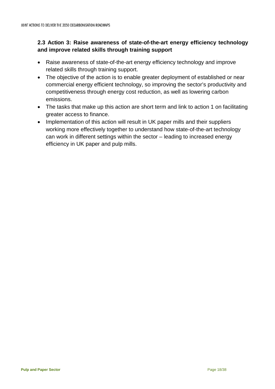## <span id="page-17-0"></span>**2.3 Action 3: Raise awareness of state-of-the-art energy efficiency technology and improve related skills through training support**

- Raise awareness of state-of-the-art energy efficiency technology and improve related skills through training support.
- The objective of the action is to enable greater deployment of established or near commercial energy efficient technology, so improving the sector's productivity and competitiveness through energy cost reduction, as well as lowering carbon emissions.
- The tasks that make up this action are short term and link to action 1 on facilitating greater access to finance.
- Implementation of this action will result in UK paper mills and their suppliers working more effectively together to understand how state-of-the-art technology can work in different settings within the sector – leading to increased energy efficiency in UK paper and pulp mills.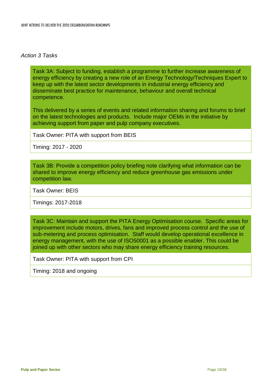#### *Action 3 Tasks*

Task 3A: Subject to funding, establish a programme to further increase awareness of energy efficiency by creating a new role of an Energy Technology/Techniques Expert to keep up with the latest sector developments in industrial energy efficiency and disseminate best practice for maintenance, behaviour and overall technical competence.

This delivered by a series of events and related information sharing and forums to brief on the latest technologies and products. Include major OEMs in the initiative by achieving support from paper and pulp company executives.

Task Owner: PITA with support from BEIS

Timing: 2017 - 2020

Task 3B: Provide a competition policy briefing note clarifying what information can be shared to improve energy efficiency and reduce greenhouse gas emissions under competition law.

Task Owner: BEIS

Timings: 2017-2018

Task 3C: Maintain and support the PITA Energy Optimisation course. Specific areas for improvement include motors, drives, fans and improved process control and the use of sub-metering and process optimisation. Staff would develop operational excellence in energy management, with the use of ISO50001 as a possible enabler. This could be joined up with other sectors who may share energy efficiency training resources.

Task Owner: PITA with support from CPI

Timing: 2018 and ongoing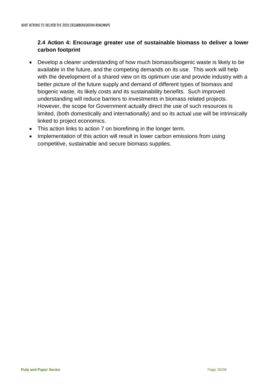# <span id="page-19-0"></span>**2.4 Action 4: Encourage greater use of sustainable biomass to deliver a lower carbon footprint**

- Develop a clearer understanding of how much biomass/biogenic waste is likely to be available in the future, and the competing demands on its use. This work will help with the development of a shared view on its optimum use and provide industry with a better picture of the future supply and demand of different types of biomass and biogenic waste, its likely costs and its sustainability benefits. Such improved understanding will reduce barriers to investments in biomass related projects. However, the scope for Government actually direct the use of such resources is limited, (both domestically and internationally) and so its actual use will be intrinsically linked to project economics.
- This action links to action 7 on biorefining in the longer term.
- Implementation of this action will result in lower carbon emissions from using competitive, sustainable and secure biomass supplies.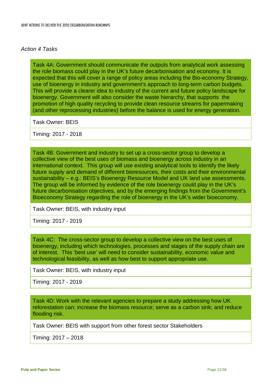#### *Action 4 Tasks*

Task 4A: Government should communicate the outputs from analytical work assessing the role biomass could play in the UK's future decarbonisation and economy. It is expected that this will cover a range of policy areas including the Bio-economy Strategy, use of bioenergy in industry and government's approach to long-term carbon budgets. This will provide a clearer idea to industry of the current and future policy landscape for bioenergy. Government will also consider the waste hierarchy, that supports the promotion of high quality recycling to provide clean resource streams for papermaking (and other reprocessing industries) before the balance is used for energy generation.

Task Owner: BEIS

Timing: 2017 - 2018

Task 4B: Government and industry to set up a cross-sector group to develop a collective view of the best uses of biomass and bioenergy across industry in an international context. This group will use existing analytical tools to identify the likely future supply and demand of different bioresources, their costs and their environmental sustainability – e.g.: BEIS's Bioenergy Resource Model and UK land use assessments. The group will be informed by evidence of the role bioenergy could play in the UK's future decarbonisation objectives, and by the emerging findings from the Government's Bioeconomy Strategy regarding the role of bioenergy in the UK's wider bioeconomy.

Task Owner: BEIS, with industry input

Timing: 2017 - 2019

Task 4C: The cross-sector group to develop a collective view on the best uses of bioenergy, including which technologies, processes and stages of the supply chain are of interest. This 'best use' will need to consider sustainability, economic value and technological feasibility, as well as how best to support appropriate use.

Task Owner: BEIS, with industry input

Timing: 2017 - 2019

Task 4D: Work with the relevant agencies to prepare a study addressing how UK reforestation can; increase the biomass resource; serve as a carbon sink; and reduce flooding risk.

Task Owner: BEIS with support from other forest sector Stakeholders

Timing: 2017 – 2018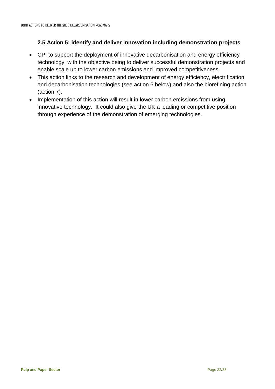## <span id="page-21-0"></span>**2.5 Action 5: identify and deliver innovation including demonstration projects**

- CPI to support the deployment of innovative decarbonisation and energy efficiency technology, with the objective being to deliver successful demonstration projects and enable scale up to lower carbon emissions and improved competitiveness.
- This action links to the research and development of energy efficiency, electrification and decarbonisation technologies (see action 6 below) and also the biorefining action (action 7).
- Implementation of this action will result in lower carbon emissions from using innovative technology. It could also give the UK a leading or competitive position through experience of the demonstration of emerging technologies.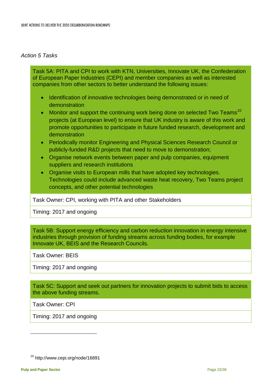## *Action 5 Tasks*

Task 5A: PITA and CPI to work with KTN, Universities, Innovate UK, the Confederation of European Paper Industries (CEPI) and member companies as well as interested companies from other sectors to better understand the following issues:

- Identification of innovative technologies being demonstrated or in need of demonstration
- Monitor and support the continuing work being done on selected Two Teams<sup>[10](#page-22-0)</sup> projects (at European level) to ensure that UK industry is aware of this work and promote opportunities to participate in future funded research, development and demonstration
- Periodically monitor Engineering and Physical Sciences Research Council or publicly-funded R&D projects that need to move to demonstration;
- Organise network events between paper and pulp companies, equipment suppliers and research institutions
- Organise visits to European mills that have adopted key technologies. Technologies could include advanced waste heat recovery, Two Teams project concepts, and other potential technologies

Task Owner: CPI, working with PITA and other Stakeholders

Timing: 2017 and ongoing

Task 5B: Support energy efficiency and carbon reduction innovation in energy intensive industries through provision of funding streams across funding bodies, for example Innovate UK, BEIS and the Research Councils.

Task Owner: BEIS

Timing: 2017 and ongoing

Task 5C: Support and seek out partners for innovation projects to submit bids to access the above funding streams.

Task Owner: CPI

Timing: 2017 and ongoing

<span id="page-22-0"></span><sup>10</sup> http://www.cepi.org/node/16891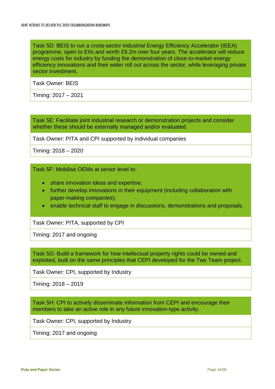Task 5D: BEIS to run a cross-sector Industrial Energy Efficiency Accelerator (IEEA) programme, open to EIIs and worth £9.2m over four years. The accelerator will reduce energy costs for industry by funding the demonstration of close-to-market energy efficiency innovations and their wider roll out across the sector, while leveraging private sector investment.

Task Owner: BEIS

Timing: 2017 – 2021

Task 5E: Facilitate joint industrial research or demonstration projects and consider whether these should be externally managed and/or evaluated.

Task Owner: PITA and CPI supported by individual companies

Timing: 2018 – 2020

Task 5F: Mobilise OEMs at senior level to:

- share innovation ideas and expertise;
- further develop innovations in their equipment (including collaboration with paper-making companies);
- enable technical staff to engage in discussions, demonstrations and proposals.

Task Owner: PITA, supported by CPI

Timing: 2017 and ongoing

Task 5G: Build a framework for how intellectual property rights could be owned and exploited, built on the same principles that CEPI developed for the Two Team project.

Task Owner: CPI, supported by Industry

Timing: 2018 – 2019

Task 5H: CPI to actively disseminate information from CEPI and encourage their members to take an active role in any future innovation-type activity.

Task Owner: CPI, supported by Industry

Timing: 2017 and ongoing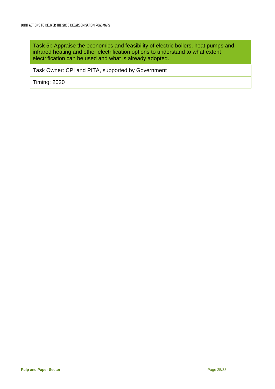Task 5I: Appraise the economics and feasibility of electric boilers, heat pumps and infrared heating and other electrification options to understand to what extent electrification can be used and what is already adopted.

Task Owner: CPI and PITA, supported by Government

Timing: 2020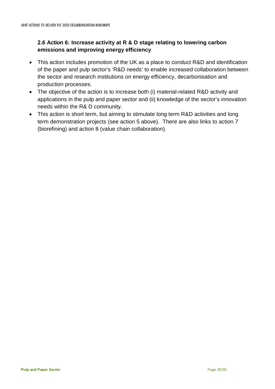# <span id="page-25-0"></span>**2.6 Action 6: Increase activity at R & D stage relating to lowering carbon emissions and improving energy efficiency**

- This action includes promotion of the UK as a place to conduct R&D and identification of the paper and pulp sector's 'R&D needs' to enable increased collaboration between the sector and research institutions on energy efficiency, decarbonisation and production processes.
- The objective of the action is to increase both (i) material-related R&D activity and applications in the pulp and paper sector and (ii) knowledge of the sector's innovation needs within the R& D community.
- This action is short term, but aiming to stimulate long term R&D activities and long term demonstration projects (see action 5 above). There are also links to action 7 (biorefining) and action 8 (value chain collaboration).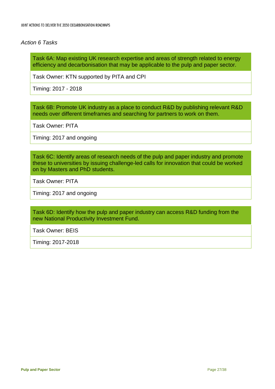#### *Action 6 Tasks*

Task 6A: Map existing UK research expertise and areas of strength related to energy efficiency and decarbonisation that may be applicable to the pulp and paper sector.

Task Owner: KTN supported by PITA and CPI

Timing: 2017 - 2018

Task 6B: Promote UK industry as a place to conduct R&D by publishing relevant R&D needs over different timeframes and searching for partners to work on them.

Task Owner: PITA

Timing: 2017 and ongoing

Task 6C: Identify areas of research needs of the pulp and paper industry and promote these to universities by issuing challenge-led calls for innovation that could be worked on by Masters and PhD students.

Task Owner: PITA

Timing: 2017 and ongoing

Task 6D: Identify how the pulp and paper industry can access R&D funding from the new National Productivity Investment Fund.

Task Owner: BEIS

Timing: 2017-2018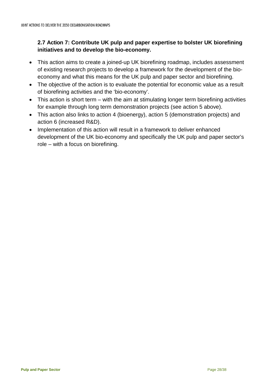# <span id="page-27-0"></span>**2.7 Action 7: Contribute UK pulp and paper expertise to bolster UK biorefining initiatives and to develop the bio-economy.**

- This action aims to create a joined-up UK biorefining roadmap, includes assessment of existing research projects to develop a framework for the development of the bioeconomy and what this means for the UK pulp and paper sector and biorefining.
- The objective of the action is to evaluate the potential for economic value as a result of biorefining activities and the 'bio-economy'.
- This action is short term with the aim at stimulating longer term biorefining activities for example through long term demonstration projects (see action 5 above).
- This action also links to action 4 (bioenergy), action 5 (demonstration projects) and action 6 (increased R&D).
- Implementation of this action will result in a framework to deliver enhanced development of the UK bio-economy and specifically the UK pulp and paper sector's role – with a focus on biorefining.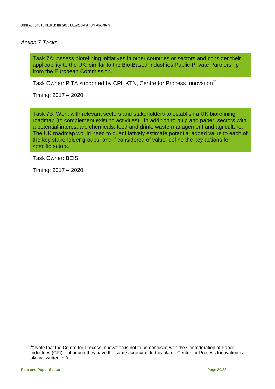#### *Action 7 Tasks*

Task 7A: Assess biorefining initiatives in other countries or sectors and consider their applicability to the UK, similar to the Bio-Based Industries Public-Private Partnership from the European Commission.

Task Owner: PITA supported by CPI, KTN, Centre for Process Innovation<sup>[11](#page-28-0)</sup>

Timing: 2017 – 2020

Task 7B: Work with relevant sectors and stakeholders to establish a UK biorefining roadmap (to complement existing activities). In addition to pulp and paper, sectors with a potential interest are chemicals, food and drink, waste management and agriculture. The UK roadmap would need to quantitatively estimate potential added value to each of the key stakeholder groups, and if considered of value, define the key actions for specific actors.

Task Owner: BEIS

Timing: 2017 – 2020

<span id="page-28-0"></span><sup>&</sup>lt;sup>11</sup> Note that the Centre for Process Innovation is not to be confused with the Confederation of Paper Industries (CPI) – although they have the same acronym. In this plan – Centre for Process Innovation is always written in full.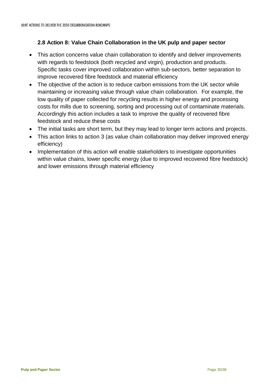# <span id="page-29-0"></span>**2.8 Action 8: Value Chain Collaboration in the UK pulp and paper sector**

- This action concerns value chain collaboration to identify and deliver improvements with regards to feedstock (both recycled and virgin), production and products. Specific tasks cover improved collaboration within sub-sectors, better separation to improve recovered fibre feedstock and material efficiency
- The objective of the action is to reduce carbon emissions from the UK sector while maintaining or increasing value through value chain collaboration. For example, the low quality of paper collected for recycling results in higher energy and processing costs for mills due to screening, sorting and processing out of contaminate materials. Accordingly this action includes a task to improve the quality of recovered fibre feedstock and reduce these costs
- The initial tasks are short term, but they may lead to longer term actions and projects.
- This action links to action 3 (as value chain collaboration may deliver improved energy efficiency)
- Implementation of this action will enable stakeholders to investigate opportunities within value chains, lower specific energy (due to improved recovered fibre feedstock) and lower emissions through material efficiency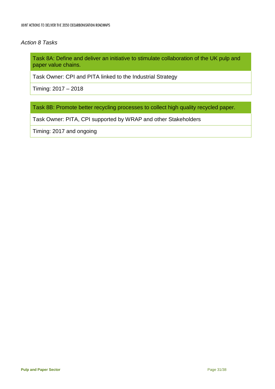#### *Action 8 Tasks*

Task 8A: Define and deliver an initiative to stimulate collaboration of the UK pulp and paper value chains.

Task Owner: CPI and PITA linked to the Industrial Strategy

Timing: 2017 – 2018

Task 8B: Promote better recycling processes to collect high quality recycled paper.

Task Owner: PITA, CPI supported by WRAP and other Stakeholders

Timing: 2017 and ongoing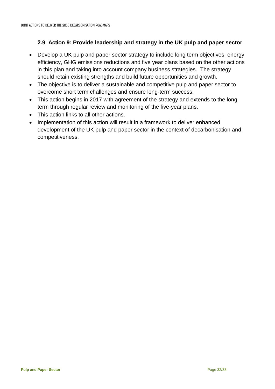## <span id="page-31-0"></span>**2.9 Action 9: Provide leadership and strategy in the UK pulp and paper sector**

- Develop a UK pulp and paper sector strategy to include long term objectives, energy efficiency, GHG emissions reductions and five year plans based on the other actions in this plan and taking into account company business strategies. The strategy should retain existing strengths and build future opportunities and growth.
- The objective is to deliver a sustainable and competitive pulp and paper sector to overcome short term challenges and ensure long-term success.
- This action begins in 2017 with agreement of the strategy and extends to the long term through regular review and monitoring of the five-year plans.
- This action links to all other actions.
- Implementation of this action will result in a framework to deliver enhanced development of the UK pulp and paper sector in the context of decarbonisation and competitiveness.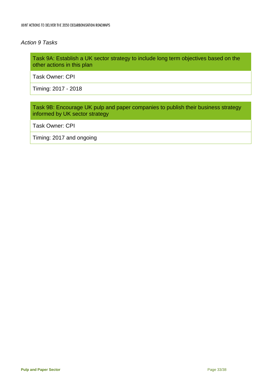#### *Action 9 Tasks*

Task 9A: Establish a UK sector strategy to include long term objectives based on the other actions in this plan

Task Owner: CPI

Timing: 2017 - 2018

Task 9B: Encourage UK pulp and paper companies to publish their business strategy informed by UK sector strategy

Task Owner: CPI

Timing: 2017 and ongoing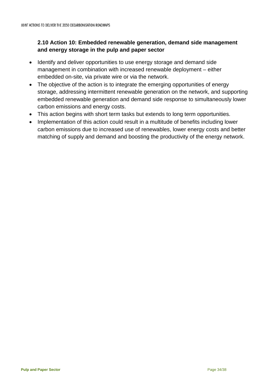# <span id="page-33-0"></span>**2.10 Action 10: Embedded renewable generation, demand side management and energy storage in the pulp and paper sector**

- Identify and deliver opportunities to use energy storage and demand side management in combination with increased renewable deployment – either embedded on-site, via private wire or via the network.
- The objective of the action is to integrate the emerging opportunities of energy storage, addressing intermittent renewable generation on the network, and supporting embedded renewable generation and demand side response to simultaneously lower carbon emissions and energy costs.
- This action begins with short term tasks but extends to long term opportunities.
- Implementation of this action could result in a multitude of benefits including lower carbon emissions due to increased use of renewables, lower energy costs and better matching of supply and demand and boosting the productivity of the energy network.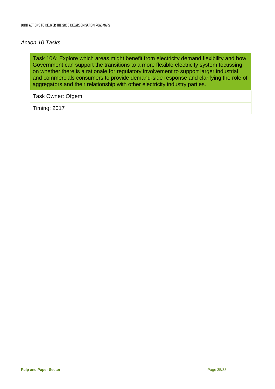#### *Action 10 Tasks*

Task 10A: Explore which areas might benefit from electricity demand flexibility and how Government can support the transitions to a more flexible electricity system focussing on whether there is a rationale for regulatory involvement to support larger industrial and commercials consumers to provide demand-side response and clarifying the role of aggregators and their relationship with other electricity industry parties.

Task Owner: Ofgem

Timing: 2017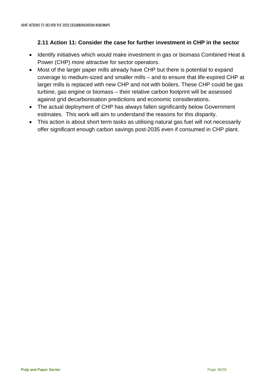## <span id="page-35-0"></span>**2.11 Action 11: Consider the case for further investment in CHP in the sector**

- Identify initiatives which would make investment in gas or biomass Combined Heat & Power (CHP) more attractive for sector operators.
- Most of the larger paper mills already have CHP but there is potential to expand coverage to medium-sized and smaller mills – and to ensure that life-expired CHP at larger mills is replaced with new CHP and not with boilers. These CHP could be gas turbine, gas engine or biomass – their relative carbon footprint will be assessed against grid decarbonisation predictions and economic considerations.
- The actual deployment of CHP has always fallen significantly below Government estimates. This work will aim to understand the reasons for this disparity.
- This action is about short term tasks as utilising natural gas fuel will not necessarily offer significant enough carbon savings post-2035 even if consumed in CHP plant.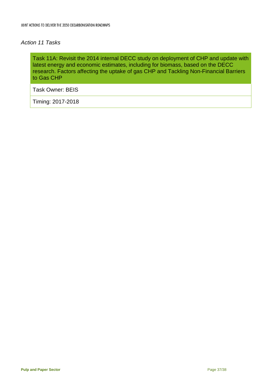#### *Action 11 Tasks*

Task 11A: Revisit the 2014 internal DECC study on deployment of CHP and update with latest energy and economic estimates, including for biomass, based on the DECC research. Factors affecting the uptake of gas CHP and Tackling Non-Financial Barriers to Gas CHP

Task Owner: BEIS

Timing: 2017-2018